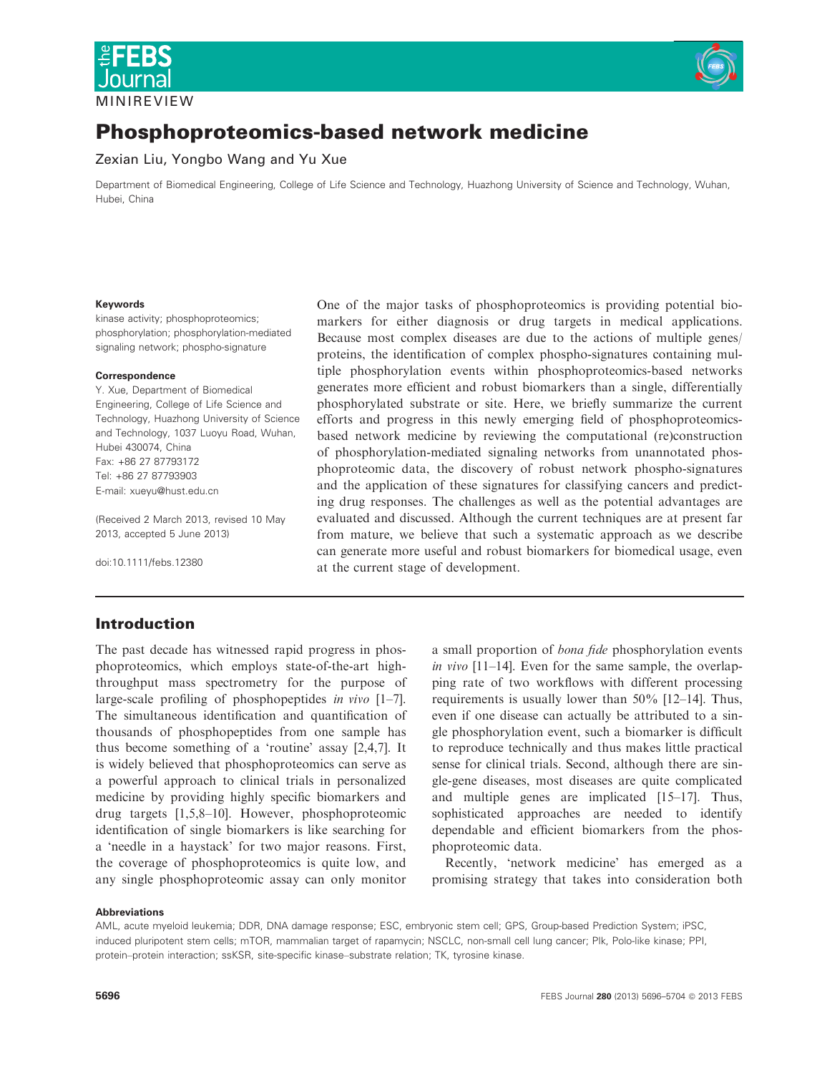



# Phosphoproteomics-based network medicine

Zexian Liu, Yongbo Wang and Yu Xue

Department of Biomedical Engineering, College of Life Science and Technology, Huazhong University of Science and Technology, Wuhan, Hubei, China

#### Keywords

kinase activity; phosphoproteomics; phosphorylation; phosphorylation-mediated signaling network; phospho-signature

#### Correspondence

Y. Xue, Department of Biomedical Engineering, College of Life Science and Technology, Huazhong University of Science and Technology, 1037 Luoyu Road, Wuhan, Hubei 430074, China Fax: +86 27 87793172 Tel: +86 27 87793903 E-mail: xueyu@hust.edu.cn

(Received 2 March 2013, revised 10 May 2013, accepted 5 June 2013)

doi:10.1111/febs.12380

One of the major tasks of phosphoproteomics is providing potential biomarkers for either diagnosis or drug targets in medical applications. Because most complex diseases are due to the actions of multiple genes/ proteins, the identification of complex phospho-signatures containing multiple phosphorylation events within phosphoproteomics-based networks generates more efficient and robust biomarkers than a single, differentially phosphorylated substrate or site. Here, we briefly summarize the current efforts and progress in this newly emerging field of phosphoproteomicsbased network medicine by reviewing the computational (re)construction of phosphorylation-mediated signaling networks from unannotated phosphoproteomic data, the discovery of robust network phospho-signatures and the application of these signatures for classifying cancers and predicting drug responses. The challenges as well as the potential advantages are evaluated and discussed. Although the current techniques are at present far from mature, we believe that such a systematic approach as we describe can generate more useful and robust biomarkers for biomedical usage, even at the current stage of development.

#### Introduction

The past decade has witnessed rapid progress in phosphoproteomics, which employs state-of-the-art highthroughput mass spectrometry for the purpose of large-scale profiling of phosphopeptides in vivo [1–7]. The simultaneous identification and quantification of thousands of phosphopeptides from one sample has thus become something of a 'routine' assay [2,4,7]. It is widely believed that phosphoproteomics can serve as a powerful approach to clinical trials in personalized medicine by providing highly specific biomarkers and drug targets [1,5,8–10]. However, phosphoproteomic identification of single biomarkers is like searching for a 'needle in a haystack' for two major reasons. First, the coverage of phosphoproteomics is quite low, and any single phosphoproteomic assay can only monitor a small proportion of bona fide phosphorylation events in vivo [11–14]. Even for the same sample, the overlapping rate of two workflows with different processing requirements is usually lower than 50% [12–14]. Thus, even if one disease can actually be attributed to a single phosphorylation event, such a biomarker is difficult to reproduce technically and thus makes little practical sense for clinical trials. Second, although there are single-gene diseases, most diseases are quite complicated and multiple genes are implicated [15–17]. Thus, sophisticated approaches are needed to identify dependable and efficient biomarkers from the phosphoproteomic data.

Recently, 'network medicine' has emerged as a promising strategy that takes into consideration both

#### Abbreviations

AML, acute myeloid leukemia; DDR, DNA damage response; ESC, embryonic stem cell; GPS, Group-based Prediction System; iPSC, induced pluripotent stem cells; mTOR, mammalian target of rapamycin; NSCLC, non-small cell lung cancer; Plk, Polo-like kinase; PPI, protein–protein interaction; ssKSR, site-specific kinase–substrate relation; TK, tyrosine kinase.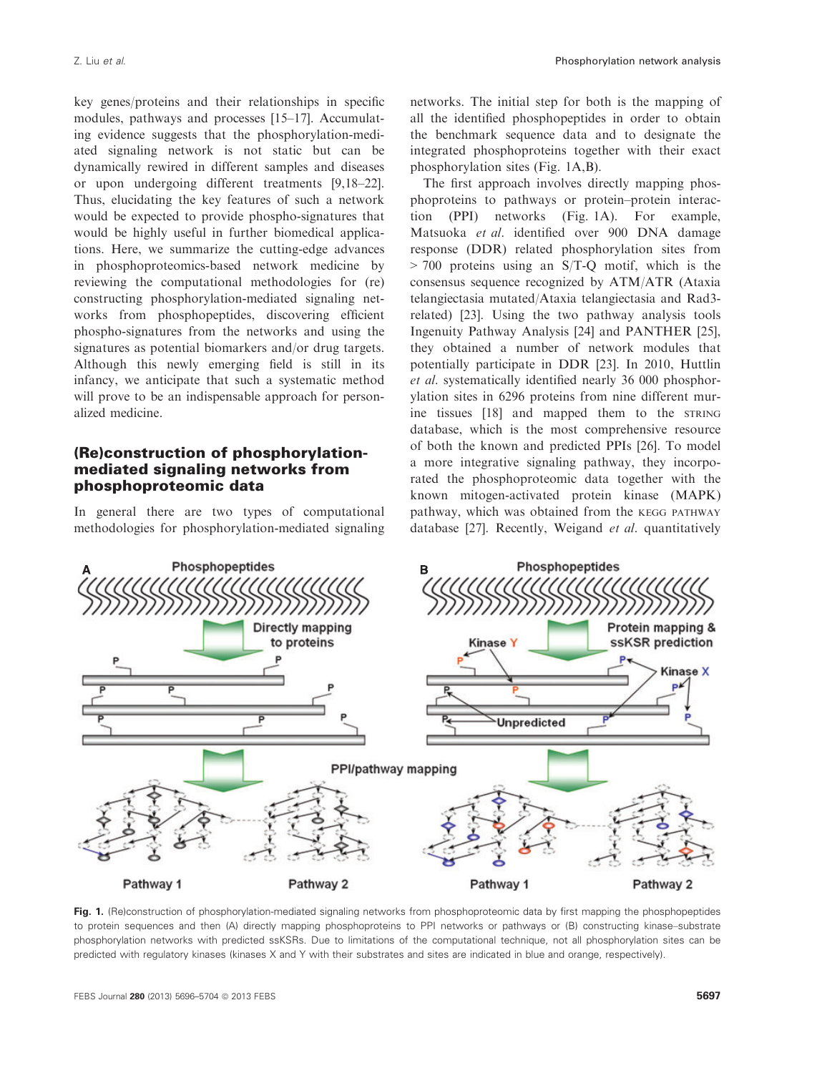key genes/proteins and their relationships in specific modules, pathways and processes [15–17]. Accumulating evidence suggests that the phosphorylation-mediated signaling network is not static but can be dynamically rewired in different samples and diseases or upon undergoing different treatments [9,18–22]. Thus, elucidating the key features of such a network would be expected to provide phospho-signatures that would be highly useful in further biomedical applications. Here, we summarize the cutting-edge advances in phosphoproteomics-based network medicine by reviewing the computational methodologies for (re) constructing phosphorylation-mediated signaling networks from phosphopeptides, discovering efficient phospho-signatures from the networks and using the signatures as potential biomarkers and/or drug targets. Although this newly emerging field is still in its infancy, we anticipate that such a systematic method will prove to be an indispensable approach for personalized medicine.

### (Re)construction of phosphorylationmediated signaling networks from phosphoproteomic data

In general there are two types of computational methodologies for phosphorylation-mediated signaling

networks. The initial step for both is the mapping of all the identified phosphopeptides in order to obtain the benchmark sequence data and to designate the integrated phosphoproteins together with their exact phosphorylation sites (Fig. 1A,B).

The first approach involves directly mapping phosphoproteins to pathways or protein–protein interaction (PPI) networks (Fig. 1A). For example, Matsuoka et al. identified over 900 DNA damage response (DDR) related phosphorylation sites from > 700 proteins using an S/T-Q motif, which is the consensus sequence recognized by ATM/ATR (Ataxia telangiectasia mutated/Ataxia telangiectasia and Rad3 related) [23]. Using the two pathway analysis tools Ingenuity Pathway Analysis [24] and PANTHER [25], they obtained a number of network modules that potentially participate in DDR [23]. In 2010, Huttlin et al. systematically identified nearly 36 000 phosphorylation sites in 6296 proteins from nine different murine tissues [18] and mapped them to the STRING database, which is the most comprehensive resource of both the known and predicted PPIs [26]. To model a more integrative signaling pathway, they incorporated the phosphoproteomic data together with the known mitogen-activated protein kinase (MAPK) pathway, which was obtained from the KEGG PATHWAY database [27]. Recently, Weigand et al. quantitatively



Fig. 1. (Re)construction of phosphorylation-mediated signaling networks from phosphoproteomic data by first mapping the phosphopeptides to protein sequences and then (A) directly mapping phosphoproteins to PPI networks or pathways or (B) constructing kinase–substrate phosphorylation networks with predicted ssKSRs. Due to limitations of the computational technique, not all phosphorylation sites can be predicted with regulatory kinases (kinases X and Y with their substrates and sites are indicated in blue and orange, respectively).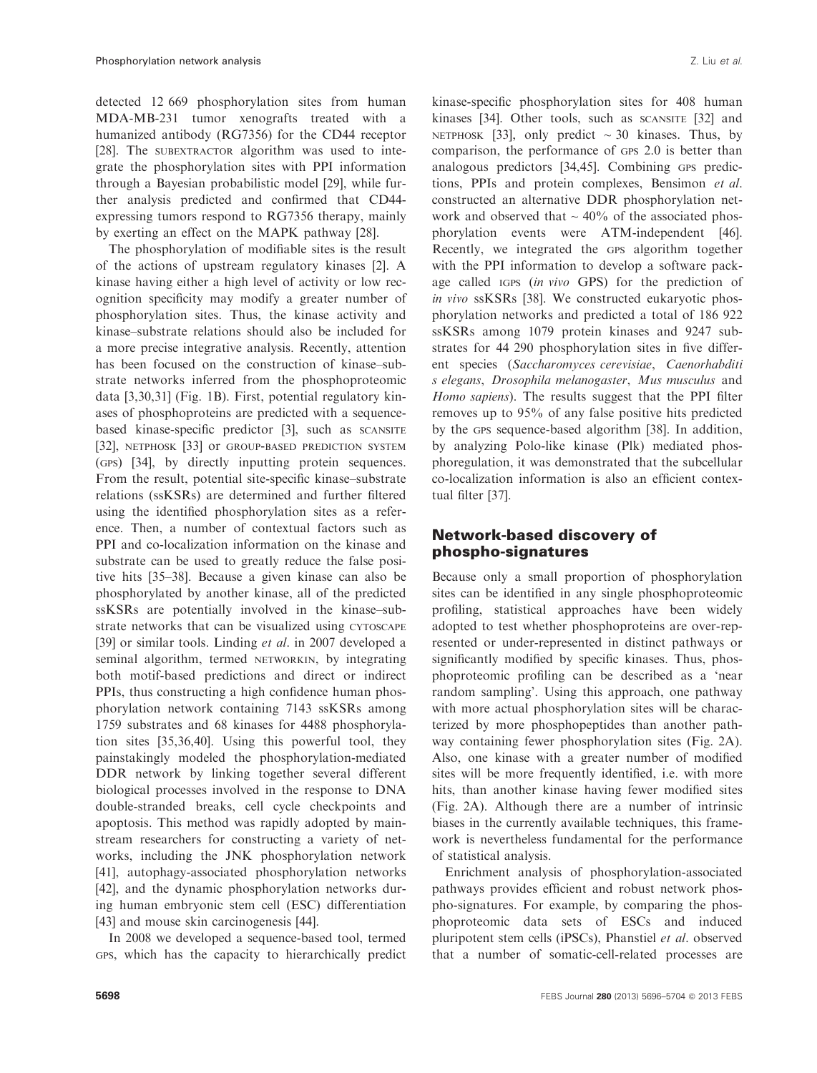detected 12 669 phosphorylation sites from human MDA-MB-231 tumor xenografts treated with a humanized antibody (RG7356) for the CD44 receptor [28]. The SUBEXTRACTOR algorithm was used to integrate the phosphorylation sites with PPI information through a Bayesian probabilistic model [29], while further analysis predicted and confirmed that CD44 expressing tumors respond to RG7356 therapy, mainly by exerting an effect on the MAPK pathway [28].

The phosphorylation of modifiable sites is the result of the actions of upstream regulatory kinases [2]. A kinase having either a high level of activity or low recognition specificity may modify a greater number of phosphorylation sites. Thus, the kinase activity and kinase–substrate relations should also be included for a more precise integrative analysis. Recently, attention has been focused on the construction of kinase–substrate networks inferred from the phosphoproteomic data [3,30,31] (Fig. 1B). First, potential regulatory kinases of phosphoproteins are predicted with a sequencebased kinase-specific predictor [3], such as SCANSITE [32], NETPHOSK [33] OF GROUP-BASED PREDICTION SYSTEM (GPS) [34], by directly inputting protein sequences. From the result, potential site-specific kinase–substrate relations (ssKSRs) are determined and further filtered using the identified phosphorylation sites as a reference. Then, a number of contextual factors such as PPI and co-localization information on the kinase and substrate can be used to greatly reduce the false positive hits [35–38]. Because a given kinase can also be phosphorylated by another kinase, all of the predicted ssKSRs are potentially involved in the kinase–substrate networks that can be visualized using CYTOSCAPE [39] or similar tools. Linding *et al.* in 2007 developed a seminal algorithm, termed NETWORKIN, by integrating both motif-based predictions and direct or indirect PPIs, thus constructing a high confidence human phosphorylation network containing 7143 ssKSRs among 1759 substrates and 68 kinases for 4488 phosphorylation sites [35,36,40]. Using this powerful tool, they painstakingly modeled the phosphorylation-mediated DDR network by linking together several different biological processes involved in the response to DNA double-stranded breaks, cell cycle checkpoints and apoptosis. This method was rapidly adopted by mainstream researchers for constructing a variety of networks, including the JNK phosphorylation network [41], autophagy-associated phosphorylation networks [42], and the dynamic phosphorylation networks during human embryonic stem cell (ESC) differentiation [43] and mouse skin carcinogenesis [44].

In 2008 we developed a sequence-based tool, termed GPS, which has the capacity to hierarchically predict

kinase-specific phosphorylation sites for 408 human kinases [34]. Other tools, such as scansite [32] and NETPHOSK [33], only predict  $\sim 30$  kinases. Thus, by comparison, the performance of GPS 2.0 is better than analogous predictors [34,45]. Combining GPS predictions, PPIs and protein complexes, Bensimon et al. constructed an alternative DDR phosphorylation network and observed that  $\sim$  40% of the associated phosphorylation events were ATM-independent [46]. Recently, we integrated the GPS algorithm together with the PPI information to develop a software package called IGPS (in vivo GPS) for the prediction of in vivo ssKSRs [38]. We constructed eukaryotic phosphorylation networks and predicted a total of 186 922 ssKSRs among 1079 protein kinases and 9247 substrates for 44 290 phosphorylation sites in five different species (Saccharomyces cerevisiae, Caenorhabditi s elegans, Drosophila melanogaster, Mus musculus and Homo sapiens). The results suggest that the PPI filter removes up to 95% of any false positive hits predicted by the GPS sequence-based algorithm [38]. In addition, by analyzing Polo-like kinase (Plk) mediated phosphoregulation, it was demonstrated that the subcellular co-localization information is also an efficient contextual filter [37].

## Network-based discovery of phospho-signatures

Because only a small proportion of phosphorylation sites can be identified in any single phosphoproteomic profiling, statistical approaches have been widely adopted to test whether phosphoproteins are over-represented or under-represented in distinct pathways or significantly modified by specific kinases. Thus, phosphoproteomic profiling can be described as a 'near random sampling'. Using this approach, one pathway with more actual phosphorylation sites will be characterized by more phosphopeptides than another pathway containing fewer phosphorylation sites (Fig. 2A). Also, one kinase with a greater number of modified sites will be more frequently identified, i.e. with more hits, than another kinase having fewer modified sites (Fig. 2A). Although there are a number of intrinsic biases in the currently available techniques, this framework is nevertheless fundamental for the performance of statistical analysis.

Enrichment analysis of phosphorylation-associated pathways provides efficient and robust network phospho-signatures. For example, by comparing the phosphoproteomic data sets of ESCs and induced pluripotent stem cells (iPSCs), Phanstiel et al. observed that a number of somatic-cell-related processes are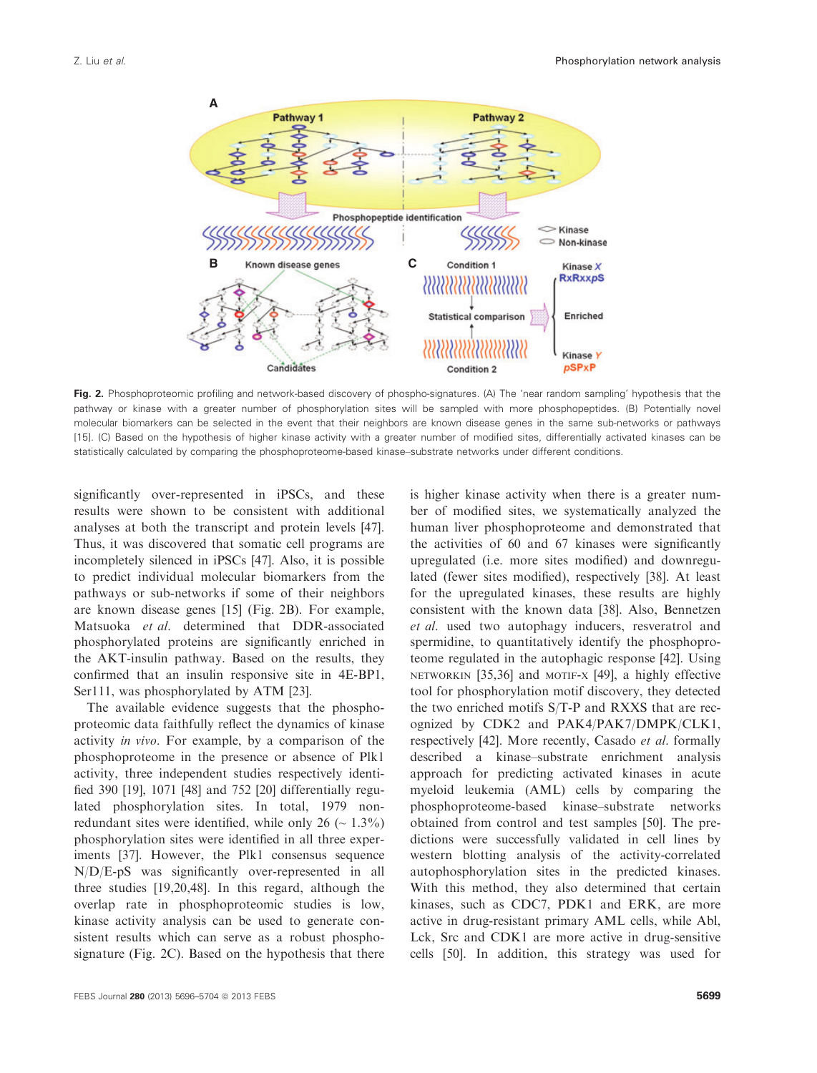

Fig. 2. Phosphoproteomic profiling and network-based discovery of phospho-signatures. (A) The 'near random sampling' hypothesis that the pathway or kinase with a greater number of phosphorylation sites will be sampled with more phosphopeptides. (B) Potentially novel molecular biomarkers can be selected in the event that their neighbors are known disease genes in the same sub-networks or pathways [15]. (C) Based on the hypothesis of higher kinase activity with a greater number of modified sites, differentially activated kinases can be statistically calculated by comparing the phosphoproteome-based kinase–substrate networks under different conditions.

significantly over-represented in iPSCs, and these results were shown to be consistent with additional analyses at both the transcript and protein levels [47]. Thus, it was discovered that somatic cell programs are incompletely silenced in iPSCs [47]. Also, it is possible to predict individual molecular biomarkers from the pathways or sub-networks if some of their neighbors are known disease genes [15] (Fig. 2B). For example, Matsuoka et al. determined that DDR-associated phosphorylated proteins are significantly enriched in the AKT-insulin pathway. Based on the results, they confirmed that an insulin responsive site in 4E-BP1, Ser111, was phosphorylated by ATM [23].

The available evidence suggests that the phosphoproteomic data faithfully reflect the dynamics of kinase activity in vivo. For example, by a comparison of the phosphoproteome in the presence or absence of Plk1 activity, three independent studies respectively identified 390 [19], 1071 [48] and 752 [20] differentially regulated phosphorylation sites. In total, 1979 nonredundant sites were identified, while only 26 ( $\sim 1.3\%$ ) phosphorylation sites were identified in all three experiments [37]. However, the Plk1 consensus sequence N/D/E-pS was significantly over-represented in all three studies [19,20,48]. In this regard, although the overlap rate in phosphoproteomic studies is low, kinase activity analysis can be used to generate consistent results which can serve as a robust phosphosignature (Fig. 2C). Based on the hypothesis that there is higher kinase activity when there is a greater number of modified sites, we systematically analyzed the human liver phosphoproteome and demonstrated that the activities of 60 and 67 kinases were significantly upregulated (i.e. more sites modified) and downregulated (fewer sites modified), respectively [38]. At least for the upregulated kinases, these results are highly consistent with the known data [38]. Also, Bennetzen et al. used two autophagy inducers, resveratrol and spermidine, to quantitatively identify the phosphoproteome regulated in the autophagic response [42]. Using NETWORKIN [35,36] and MOTIF-X [49], a highly effective tool for phosphorylation motif discovery, they detected the two enriched motifs S/T-P and RXXS that are recognized by CDK2 and PAK4/PAK7/DMPK/CLK1, respectively [42]. More recently, Casado et al. formally described a kinase–substrate enrichment analysis approach for predicting activated kinases in acute myeloid leukemia (AML) cells by comparing the phosphoproteome-based kinase–substrate networks obtained from control and test samples [50]. The predictions were successfully validated in cell lines by western blotting analysis of the activity-correlated autophosphorylation sites in the predicted kinases. With this method, they also determined that certain kinases, such as CDC7, PDK1 and ERK, are more active in drug-resistant primary AML cells, while Abl, Lck, Src and CDK1 are more active in drug-sensitive cells [50]. In addition, this strategy was used for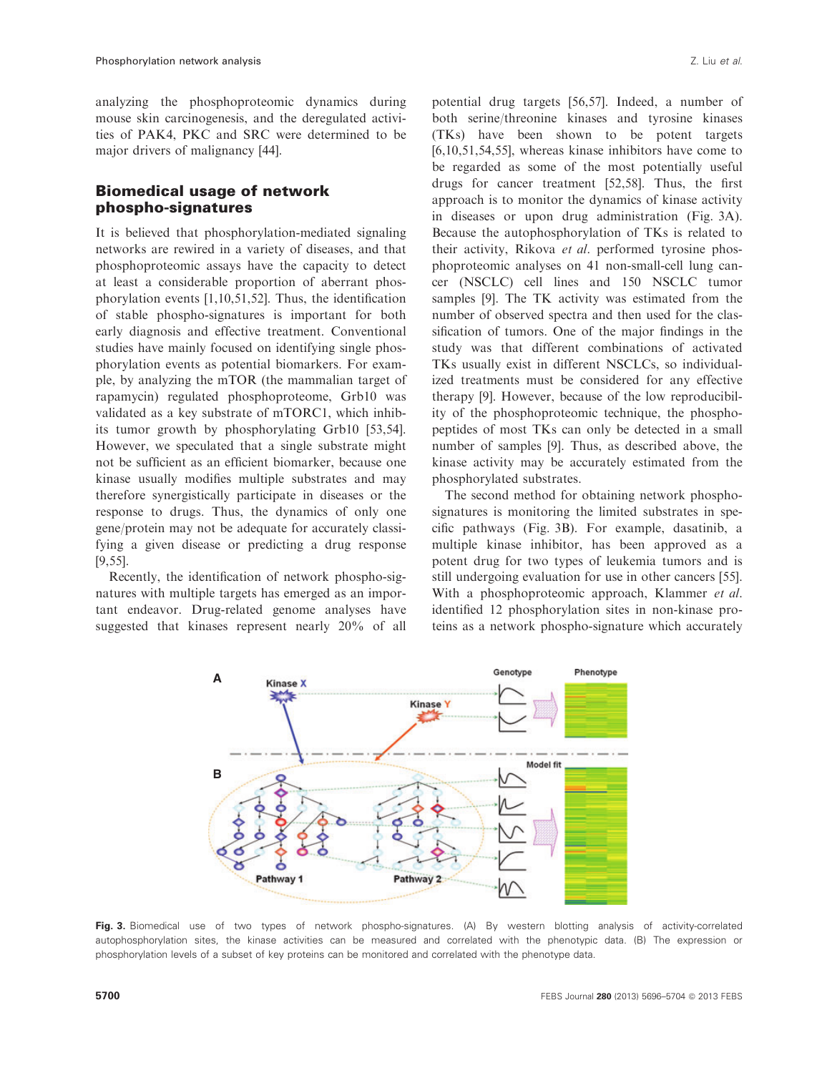analyzing the phosphoproteomic dynamics during mouse skin carcinogenesis, and the deregulated activities of PAK4, PKC and SRC were determined to be major drivers of malignancy [44].

## Biomedical usage of network phospho-signatures

It is believed that phosphorylation-mediated signaling networks are rewired in a variety of diseases, and that phosphoproteomic assays have the capacity to detect at least a considerable proportion of aberrant phosphorylation events [1,10,51,52]. Thus, the identification of stable phospho-signatures is important for both early diagnosis and effective treatment. Conventional studies have mainly focused on identifying single phosphorylation events as potential biomarkers. For example, by analyzing the mTOR (the mammalian target of rapamycin) regulated phosphoproteome, Grb10 was validated as a key substrate of mTORC1, which inhibits tumor growth by phosphorylating Grb10 [53,54]. However, we speculated that a single substrate might not be sufficient as an efficient biomarker, because one kinase usually modifies multiple substrates and may therefore synergistically participate in diseases or the response to drugs. Thus, the dynamics of only one gene/protein may not be adequate for accurately classifying a given disease or predicting a drug response [9,55].

Recently, the identification of network phospho-signatures with multiple targets has emerged as an important endeavor. Drug-related genome analyses have suggested that kinases represent nearly 20% of all

potential drug targets [56,57]. Indeed, a number of both serine/threonine kinases and tyrosine kinases (TKs) have been shown to be potent targets [6,10,51,54,55], whereas kinase inhibitors have come to be regarded as some of the most potentially useful drugs for cancer treatment [52,58]. Thus, the first approach is to monitor the dynamics of kinase activity in diseases or upon drug administration (Fig. 3A). Because the autophosphorylation of TKs is related to their activity, Rikova et al. performed tyrosine phosphoproteomic analyses on 41 non-small-cell lung cancer (NSCLC) cell lines and 150 NSCLC tumor samples [9]. The TK activity was estimated from the number of observed spectra and then used for the classification of tumors. One of the major findings in the study was that different combinations of activated TKs usually exist in different NSCLCs, so individualized treatments must be considered for any effective therapy [9]. However, because of the low reproducibility of the phosphoproteomic technique, the phosphopeptides of most TKs can only be detected in a small number of samples [9]. Thus, as described above, the kinase activity may be accurately estimated from the phosphorylated substrates.

The second method for obtaining network phosphosignatures is monitoring the limited substrates in specific pathways (Fig. 3B). For example, dasatinib, a multiple kinase inhibitor, has been approved as a potent drug for two types of leukemia tumors and is still undergoing evaluation for use in other cancers [55]. With a phosphoproteomic approach, Klammer et al. identified 12 phosphorylation sites in non-kinase proteins as a network phospho-signature which accurately



Fig. 3. Biomedical use of two types of network phospho-signatures. (A) By western blotting analysis of activity-correlated autophosphorylation sites, the kinase activities can be measured and correlated with the phenotypic data. (B) The expression or phosphorylation levels of a subset of key proteins can be monitored and correlated with the phenotype data.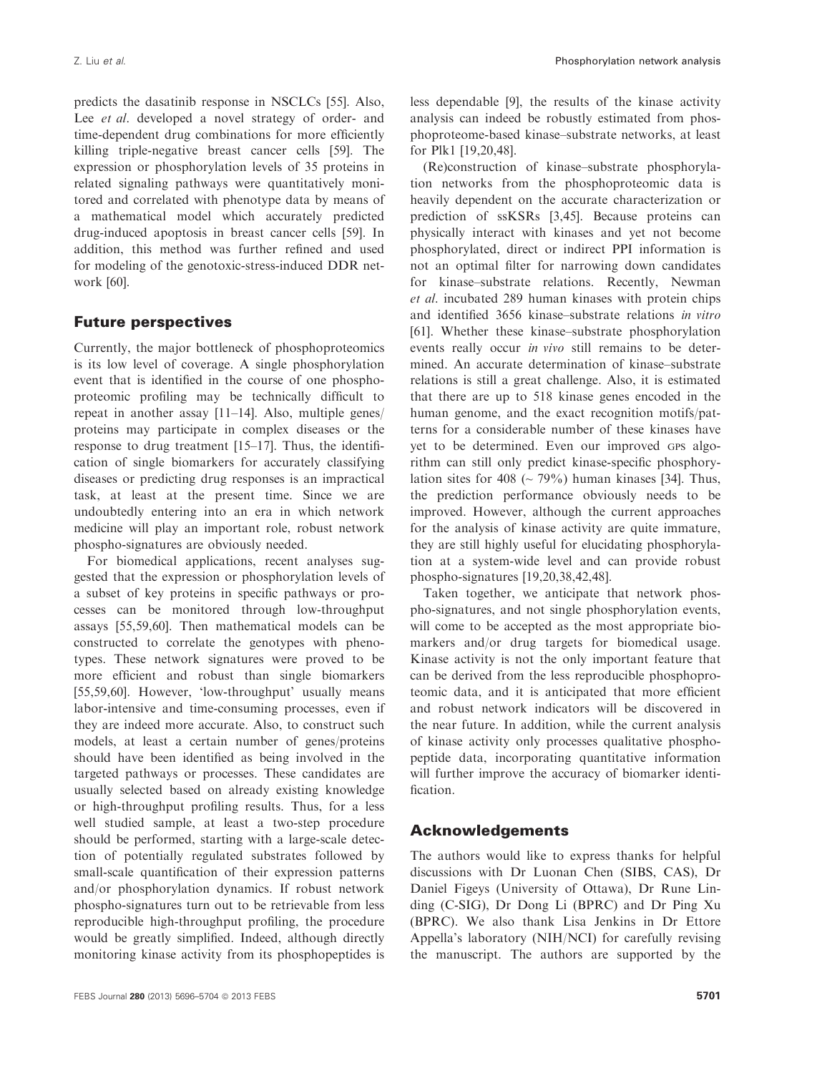predicts the dasatinib response in NSCLCs [55]. Also, Lee *et al.* developed a novel strategy of order- and time-dependent drug combinations for more efficiently killing triple-negative breast cancer cells [59]. The expression or phosphorylation levels of 35 proteins in related signaling pathways were quantitatively monitored and correlated with phenotype data by means of a mathematical model which accurately predicted drug-induced apoptosis in breast cancer cells [59]. In addition, this method was further refined and used for modeling of the genotoxic-stress-induced DDR network [60].

### Future perspectives

Currently, the major bottleneck of phosphoproteomics is its low level of coverage. A single phosphorylation event that is identified in the course of one phosphoproteomic profiling may be technically difficult to repeat in another assay [11–14]. Also, multiple genes/ proteins may participate in complex diseases or the response to drug treatment [15–17]. Thus, the identification of single biomarkers for accurately classifying diseases or predicting drug responses is an impractical task, at least at the present time. Since we are undoubtedly entering into an era in which network medicine will play an important role, robust network phospho-signatures are obviously needed.

For biomedical applications, recent analyses suggested that the expression or phosphorylation levels of a subset of key proteins in specific pathways or processes can be monitored through low-throughput assays [55,59,60]. Then mathematical models can be constructed to correlate the genotypes with phenotypes. These network signatures were proved to be more efficient and robust than single biomarkers [55,59,60]. However, 'low-throughput' usually means labor-intensive and time-consuming processes, even if they are indeed more accurate. Also, to construct such models, at least a certain number of genes/proteins should have been identified as being involved in the targeted pathways or processes. These candidates are usually selected based on already existing knowledge or high-throughput profiling results. Thus, for a less well studied sample, at least a two-step procedure should be performed, starting with a large-scale detection of potentially regulated substrates followed by small-scale quantification of their expression patterns and/or phosphorylation dynamics. If robust network phospho-signatures turn out to be retrievable from less reproducible high-throughput profiling, the procedure would be greatly simplified. Indeed, although directly monitoring kinase activity from its phosphopeptides is

less dependable [9], the results of the kinase activity analysis can indeed be robustly estimated from phosphoproteome-based kinase–substrate networks, at least for Plk1 [19,20,48].

(Re)construction of kinase–substrate phosphorylation networks from the phosphoproteomic data is heavily dependent on the accurate characterization or prediction of ssKSRs [3,45]. Because proteins can physically interact with kinases and yet not become phosphorylated, direct or indirect PPI information is not an optimal filter for narrowing down candidates for kinase–substrate relations. Recently, Newman et al. incubated 289 human kinases with protein chips and identified 3656 kinase–substrate relations in vitro [61]. Whether these kinase–substrate phosphorylation events really occur in vivo still remains to be determined. An accurate determination of kinase–substrate relations is still a great challenge. Also, it is estimated that there are up to 518 kinase genes encoded in the human genome, and the exact recognition motifs/patterns for a considerable number of these kinases have yet to be determined. Even our improved GPS algorithm can still only predict kinase-specific phosphorylation sites for 408 ( $\sim$  79%) human kinases [34]. Thus, the prediction performance obviously needs to be improved. However, although the current approaches for the analysis of kinase activity are quite immature, they are still highly useful for elucidating phosphorylation at a system-wide level and can provide robust phospho-signatures [19,20,38,42,48].

Taken together, we anticipate that network phospho-signatures, and not single phosphorylation events, will come to be accepted as the most appropriate biomarkers and/or drug targets for biomedical usage. Kinase activity is not the only important feature that can be derived from the less reproducible phosphoproteomic data, and it is anticipated that more efficient and robust network indicators will be discovered in the near future. In addition, while the current analysis of kinase activity only processes qualitative phosphopeptide data, incorporating quantitative information will further improve the accuracy of biomarker identification.

#### Acknowledgements

The authors would like to express thanks for helpful discussions with Dr Luonan Chen (SIBS, CAS), Dr Daniel Figeys (University of Ottawa), Dr Rune Linding (C-SIG), Dr Dong Li (BPRC) and Dr Ping Xu (BPRC). We also thank Lisa Jenkins in Dr Ettore Appella's laboratory (NIH/NCI) for carefully revising the manuscript. The authors are supported by the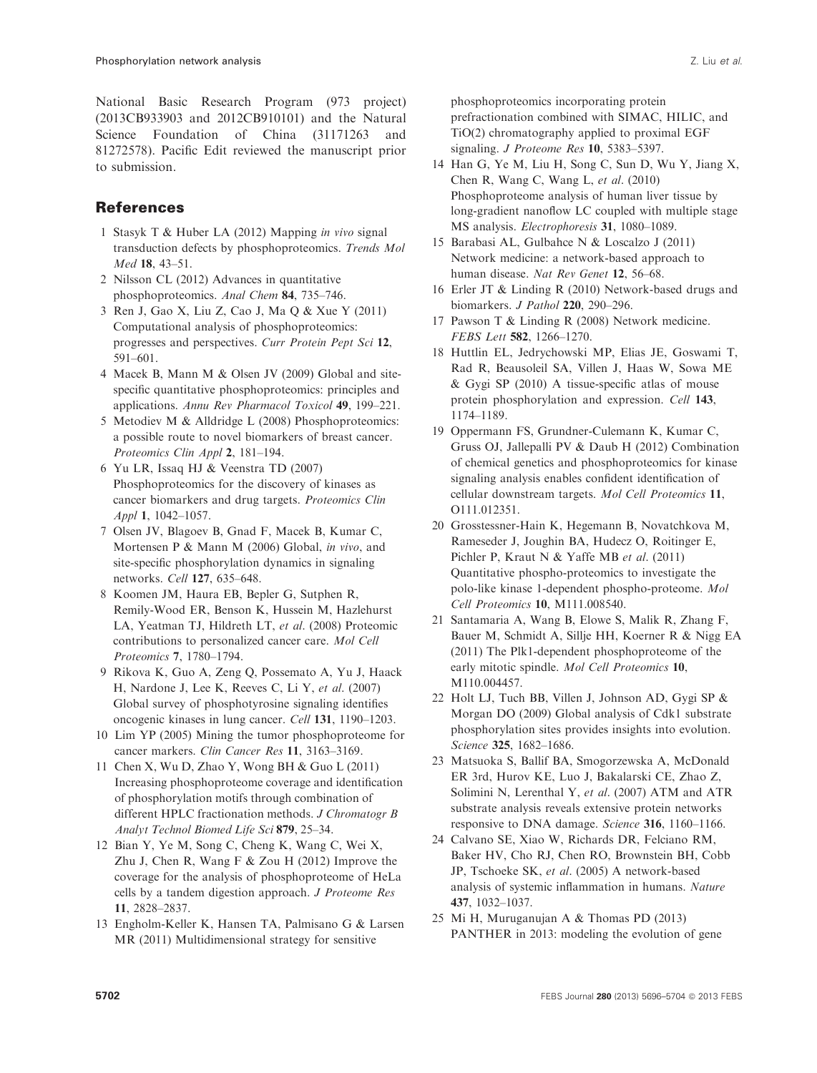National Basic Research Program (973 project) (2013CB933903 and 2012CB910101) and the Natural Science Foundation of China (31171263 and 81272578). Pacific Edit reviewed the manuscript prior to submission.

# References

- 1 Stasyk T & Huber LA (2012) Mapping in vivo signal transduction defects by phosphoproteomics. Trends Mol Med 18, 43–51.
- 2 Nilsson CL (2012) Advances in quantitative phosphoproteomics. Anal Chem 84, 735–746.
- 3 Ren J, Gao X, Liu Z, Cao J, Ma Q & Xue Y (2011) Computational analysis of phosphoproteomics: progresses and perspectives. Curr Protein Pept Sci 12, 591–601.
- 4 Macek B, Mann M & Olsen JV (2009) Global and sitespecific quantitative phosphoproteomics: principles and applications. Annu Rev Pharmacol Toxicol 49, 199–221.
- 5 Metodiev M & Alldridge L (2008) Phosphoproteomics: a possible route to novel biomarkers of breast cancer. Proteomics Clin Appl 2, 181–194.
- 6 Yu LR, Issaq HJ & Veenstra TD (2007) Phosphoproteomics for the discovery of kinases as cancer biomarkers and drug targets. Proteomics Clin Appl 1, 1042–1057.
- 7 Olsen JV, Blagoev B, Gnad F, Macek B, Kumar C, Mortensen P & Mann M (2006) Global, in vivo, and site-specific phosphorylation dynamics in signaling networks. Cell 127, 635–648.
- 8 Koomen JM, Haura EB, Bepler G, Sutphen R, Remily-Wood ER, Benson K, Hussein M, Hazlehurst LA, Yeatman TJ, Hildreth LT, et al. (2008) Proteomic contributions to personalized cancer care. Mol Cell Proteomics 7, 1780–1794.
- 9 Rikova K, Guo A, Zeng Q, Possemato A, Yu J, Haack H, Nardone J, Lee K, Reeves C, Li Y, et al. (2007) Global survey of phosphotyrosine signaling identifies oncogenic kinases in lung cancer. Cell 131, 1190–1203.
- 10 Lim YP (2005) Mining the tumor phosphoproteome for cancer markers. Clin Cancer Res 11, 3163–3169.
- 11 Chen X, Wu D, Zhao Y, Wong BH & Guo L (2011) Increasing phosphoproteome coverage and identification of phosphorylation motifs through combination of different HPLC fractionation methods. *J Chromatogr B* Analyt Technol Biomed Life Sci 879, 25–34.
- 12 Bian Y, Ye M, Song C, Cheng K, Wang C, Wei X, Zhu J, Chen R, Wang F & Zou H (2012) Improve the coverage for the analysis of phosphoproteome of HeLa cells by a tandem digestion approach. J Proteome Res 11, 2828–2837.
- 13 Engholm-Keller K, Hansen TA, Palmisano G & Larsen MR (2011) Multidimensional strategy for sensitive

phosphoproteomics incorporating protein prefractionation combined with SIMAC, HILIC, and TiO(2) chromatography applied to proximal EGF signaling. J Proteome Res 10, 5383-5397.

- 14 Han G, Ye M, Liu H, Song C, Sun D, Wu Y, Jiang X, Chen R, Wang C, Wang L, et al. (2010) Phosphoproteome analysis of human liver tissue by long-gradient nanoflow LC coupled with multiple stage MS analysis. Electrophoresis 31, 1080–1089.
- 15 Barabasi AL, Gulbahce N & Loscalzo J (2011) Network medicine: a network-based approach to human disease. Nat Rev Genet 12, 56–68.
- 16 Erler JT & Linding R (2010) Network-based drugs and biomarkers. J Pathol 220, 290–296.
- 17 Pawson T & Linding R (2008) Network medicine. FEBS Lett 582, 1266–1270.
- 18 Huttlin EL, Jedrychowski MP, Elias JE, Goswami T, Rad R, Beausoleil SA, Villen J, Haas W, Sowa ME & Gygi SP (2010) A tissue-specific atlas of mouse protein phosphorylation and expression. Cell 143, 1174–1189.
- 19 Oppermann FS, Grundner-Culemann K, Kumar C, Gruss OJ, Jallepalli PV & Daub H (2012) Combination of chemical genetics and phosphoproteomics for kinase signaling analysis enables confident identification of cellular downstream targets. Mol Cell Proteomics 11, O111.012351.
- 20 Grosstessner-Hain K, Hegemann B, Novatchkova M, Rameseder J, Joughin BA, Hudecz O, Roitinger E, Pichler P, Kraut N & Yaffe MB et al. (2011) Quantitative phospho-proteomics to investigate the polo-like kinase 1-dependent phospho-proteome. Mol Cell Proteomics 10, M111.008540.
- 21 Santamaria A, Wang B, Elowe S, Malik R, Zhang F, Bauer M, Schmidt A, Sillje HH, Koerner R & Nigg EA (2011) The Plk1-dependent phosphoproteome of the early mitotic spindle. Mol Cell Proteomics 10, M110.004457.
- 22 Holt LJ, Tuch BB, Villen J, Johnson AD, Gygi SP & Morgan DO (2009) Global analysis of Cdk1 substrate phosphorylation sites provides insights into evolution. Science 325, 1682–1686.
- 23 Matsuoka S, Ballif BA, Smogorzewska A, McDonald ER 3rd, Hurov KE, Luo J, Bakalarski CE, Zhao Z, Solimini N, Lerenthal Y, et al. (2007) ATM and ATR substrate analysis reveals extensive protein networks responsive to DNA damage. Science 316, 1160–1166.
- 24 Calvano SE, Xiao W, Richards DR, Felciano RM, Baker HV, Cho RJ, Chen RO, Brownstein BH, Cobb JP, Tschoeke SK, et al. (2005) A network-based analysis of systemic inflammation in humans. Nature 437, 1032–1037.
- 25 Mi H, Muruganujan A & Thomas PD (2013) PANTHER in 2013: modeling the evolution of gene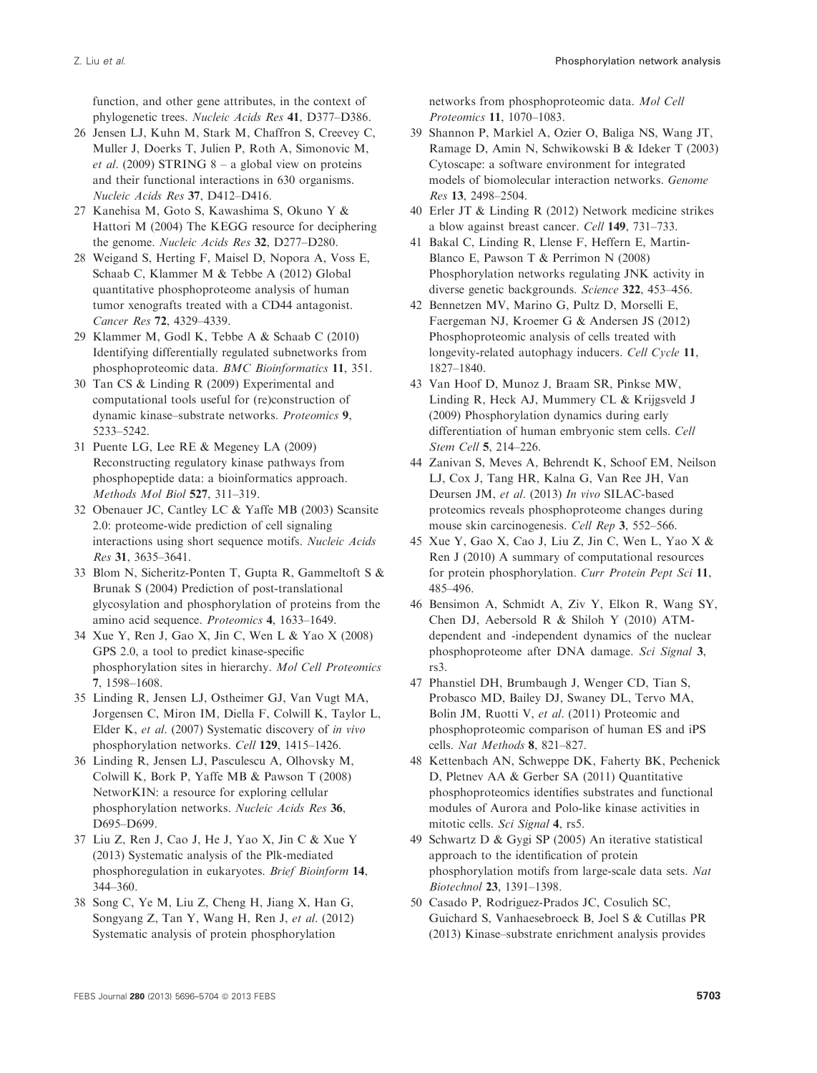function, and other gene attributes, in the context of phylogenetic trees. Nucleic Acids Res 41, D377–D386.

- 26 Jensen LJ, Kuhn M, Stark M, Chaffron S, Creevey C, Muller J, Doerks T, Julien P, Roth A, Simonovic M, *et al.* (2009) STRING  $8 - a$  global view on proteins and their functional interactions in 630 organisms. Nucleic Acids Res 37, D412–D416.
- 27 Kanehisa M, Goto S, Kawashima S, Okuno Y & Hattori M (2004) The KEGG resource for deciphering the genome. Nucleic Acids Res 32, D277–D280.
- 28 Weigand S, Herting F, Maisel D, Nopora A, Voss E, Schaab C, Klammer M & Tebbe A (2012) Global quantitative phosphoproteome analysis of human tumor xenografts treated with a CD44 antagonist. Cancer Res 72, 4329–4339.
- 29 Klammer M, Godl K, Tebbe A & Schaab C (2010) Identifying differentially regulated subnetworks from phosphoproteomic data. BMC Bioinformatics 11, 351.
- 30 Tan CS & Linding R (2009) Experimental and computational tools useful for (re)construction of dynamic kinase–substrate networks. Proteomics 9, 5233–5242.
- 31 Puente LG, Lee RE & Megeney LA (2009) Reconstructing regulatory kinase pathways from phosphopeptide data: a bioinformatics approach. Methods Mol Biol 527, 311–319.
- 32 Obenauer JC, Cantley LC & Yaffe MB (2003) Scansite 2.0: proteome-wide prediction of cell signaling interactions using short sequence motifs. Nucleic Acids Res 31, 3635–3641.
- 33 Blom N, Sicheritz-Ponten T, Gupta R, Gammeltoft S & Brunak S (2004) Prediction of post-translational glycosylation and phosphorylation of proteins from the amino acid sequence. Proteomics 4, 1633–1649.
- 34 Xue Y, Ren J, Gao X, Jin C, Wen L & Yao X (2008) GPS 2.0, a tool to predict kinase-specific phosphorylation sites in hierarchy. Mol Cell Proteomics 7, 1598–1608.
- 35 Linding R, Jensen LJ, Ostheimer GJ, Van Vugt MA, Jorgensen C, Miron IM, Diella F, Colwill K, Taylor L, Elder K, et al. (2007) Systematic discovery of in vivo phosphorylation networks. Cell 129, 1415–1426.
- 36 Linding R, Jensen LJ, Pasculescu A, Olhovsky M, Colwill K, Bork P, Yaffe MB & Pawson T (2008) NetworKIN: a resource for exploring cellular phosphorylation networks. Nucleic Acids Res 36, D695–D699.
- 37 Liu Z, Ren J, Cao J, He J, Yao X, Jin C & Xue Y (2013) Systematic analysis of the Plk-mediated phosphoregulation in eukaryotes. Brief Bioinform 14, 344–360.
- 38 Song C, Ye M, Liu Z, Cheng H, Jiang X, Han G, Songyang Z, Tan Y, Wang H, Ren J, et al. (2012) Systematic analysis of protein phosphorylation

networks from phosphoproteomic data. Mol Cell Proteomics 11, 1070–1083.

- 39 Shannon P, Markiel A, Ozier O, Baliga NS, Wang JT, Ramage D, Amin N, Schwikowski B & Ideker T (2003) Cytoscape: a software environment for integrated models of biomolecular interaction networks. Genome Res 13, 2498–2504.
- 40 Erler JT & Linding R (2012) Network medicine strikes a blow against breast cancer. Cell 149, 731–733.
- 41 Bakal C, Linding R, Llense F, Heffern E, Martin-Blanco E, Pawson T & Perrimon N (2008) Phosphorylation networks regulating JNK activity in diverse genetic backgrounds. Science 322, 453–456.
- 42 Bennetzen MV, Marino G, Pultz D, Morselli E, Faergeman NJ, Kroemer G & Andersen JS (2012) Phosphoproteomic analysis of cells treated with longevity-related autophagy inducers. Cell Cycle 11, 1827–1840.
- 43 Van Hoof D, Munoz J, Braam SR, Pinkse MW, Linding R, Heck AJ, Mummery CL & Krijgsveld J (2009) Phosphorylation dynamics during early differentiation of human embryonic stem cells. Cell Stem Cell 5, 214–226.
- 44 Zanivan S, Meves A, Behrendt K, Schoof EM, Neilson LJ, Cox J, Tang HR, Kalna G, Van Ree JH, Van Deursen JM, et al. (2013) In vivo SILAC-based proteomics reveals phosphoproteome changes during mouse skin carcinogenesis. Cell Rep 3, 552–566.
- 45 Xue Y, Gao X, Cao J, Liu Z, Jin C, Wen L, Yao X & Ren J (2010) A summary of computational resources for protein phosphorylation. Curr Protein Pept Sci 11, 485–496.
- 46 Bensimon A, Schmidt A, Ziv Y, Elkon R, Wang SY, Chen DJ, Aebersold R & Shiloh Y (2010) ATMdependent and -independent dynamics of the nuclear phosphoproteome after DNA damage. Sci Signal 3, rs3.
- 47 Phanstiel DH, Brumbaugh J, Wenger CD, Tian S, Probasco MD, Bailey DJ, Swaney DL, Tervo MA, Bolin JM, Ruotti V, et al. (2011) Proteomic and phosphoproteomic comparison of human ES and iPS cells. Nat Methods 8, 821–827.
- 48 Kettenbach AN, Schweppe DK, Faherty BK, Pechenick D, Pletnev AA & Gerber SA (2011) Quantitative phosphoproteomics identifies substrates and functional modules of Aurora and Polo-like kinase activities in mitotic cells. Sci Signal 4, rs5.
- 49 Schwartz D & Gygi SP (2005) An iterative statistical approach to the identification of protein phosphorylation motifs from large-scale data sets. Nat Biotechnol 23, 1391–1398.
- 50 Casado P, Rodriguez-Prados JC, Cosulich SC, Guichard S, Vanhaesebroeck B, Joel S & Cutillas PR (2013) Kinase–substrate enrichment analysis provides